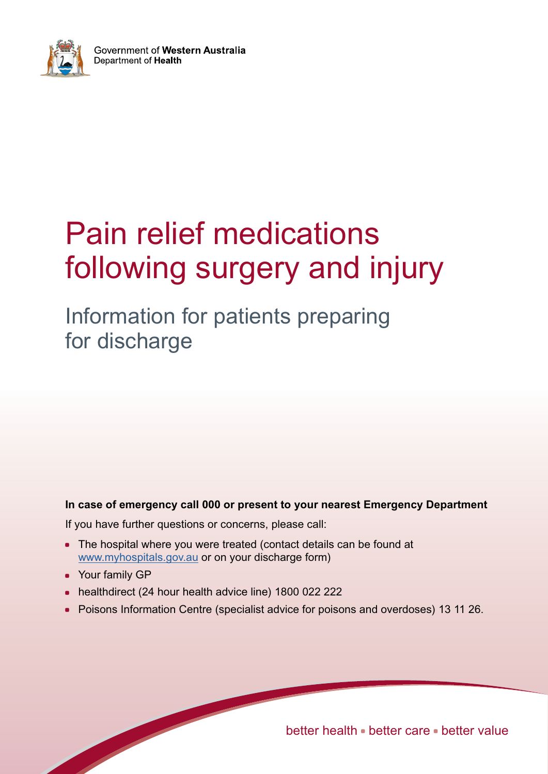

# Pain relief medications following surgery and injury

Information for patients preparing for discharge

### **In case of emergency call 000 or present to your nearest Emergency Department**

If you have further questions or concerns, please call:

- The hospital where you were treated (contact details can be found at [www.myhospitals.gov.au](http://www.myhospitals.gov.au/) or on your discharge form)
- Your family GP
- healthdirect (24 hour health advice line) 1800 022 222
- Poisons Information Centre (specialist advice for poisons and overdoses) 13 11 26.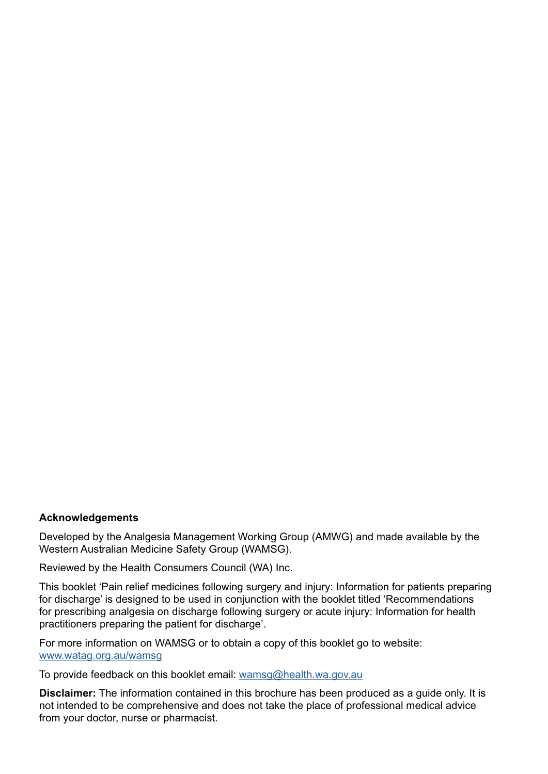#### **Acknowledgements**

Developed by the Analgesia Management Working Group (AMWG) and made available by the Western Australian Medicine Safety Group (WAMSG).

Reviewed by the Health Consumers Council (WA) Inc.

This booklet 'Pain relief medicines following surgery and injury: Information for patients preparing for discharge' is designed to be used in conjunction with the booklet titled 'Recommendations for prescribing analgesia on discharge following surgery or acute injury: Information for health practitioners preparing the patient for discharge'.

For more information on WAMSG or to obtain a copy of this booklet go to website: [www.watag.org.au/wamsg](http://www.watag.org.au/wamsg)

To provide feedback on this booklet email: [wamsg@health.wa.gov.au](mailto:wamsg%40health.wa.gov.au?subject=Pain%20Relief)

**Disclaimer:** The information contained in this brochure has been produced as a guide only. It is not intended to be comprehensive and does not take the place of professional medical advice from your doctor, nurse or pharmacist.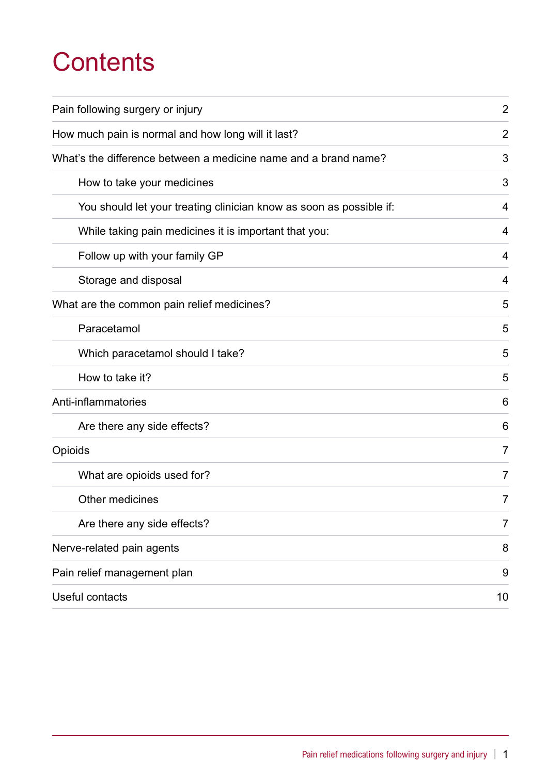# **Contents**

| Pain following surgery or injury                                    | $\overline{2}$ |
|---------------------------------------------------------------------|----------------|
| How much pain is normal and how long will it last?                  | 2              |
| What's the difference between a medicine name and a brand name?     | 3              |
| How to take your medicines                                          | 3              |
| You should let your treating clinician know as soon as possible if: | 4              |
| While taking pain medicines it is important that you:               | 4              |
| Follow up with your family GP                                       | 4              |
| Storage and disposal                                                | 4              |
| What are the common pain relief medicines?                          | 5              |
| Paracetamol                                                         | 5              |
| Which paracetamol should I take?                                    | 5              |
| How to take it?                                                     | 5              |
| Anti-inflammatories                                                 | 6              |
| Are there any side effects?                                         | 6              |
| Opioids                                                             | 7              |
| What are opioids used for?                                          | 7              |
| Other medicines                                                     | 7              |
| Are there any side effects?                                         | 7              |
| Nerve-related pain agents                                           | 8              |
| Pain relief management plan                                         | 9              |
| Useful contacts                                                     | 10             |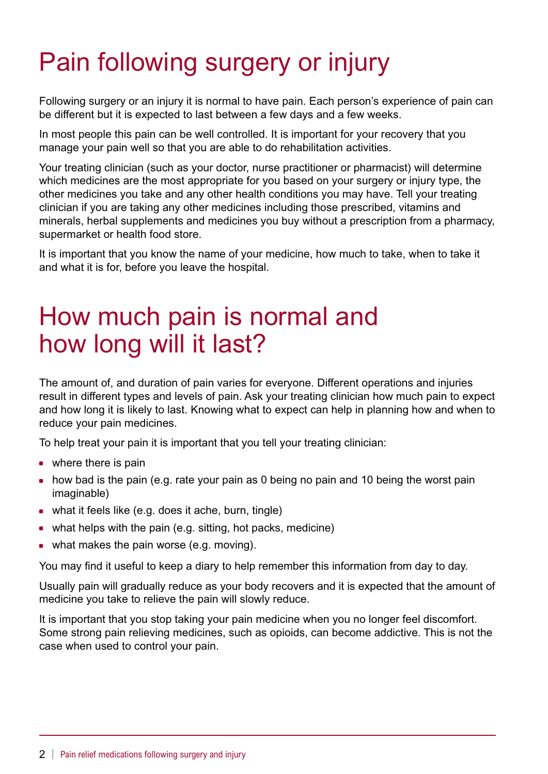# Pain following surgery or injury

Following surgery or an injury it is normal to have pain. Each person's experience of pain can be different but it is expected to last between a few days and a few weeks.

In most people this pain can be well controlled. It is important for your recovery that you manage your pain well so that you are able to do rehabilitation activities.

Your treating clinician (such as your doctor, nurse practitioner or pharmacist) will determine which medicines are the most appropriate for you based on your surgery or injury type, the other medicines you take and any other health conditions you may have. Tell your treating clinician if you are taking any other medicines including those prescribed, vitamins and minerals, herbal supplements and medicines you buy without a prescription from a pharmacy, supermarket or health food store.

It is important that you know the name of your medicine, how much to take, when to take it and what it is for, before you leave the hospital.

## How much pain is normal and how long will it last?

The amount of, and duration of pain varies for everyone. Different operations and injuries result in different types and levels of pain. Ask your treating clinician how much pain to expect and how long it is likely to last. Knowing what to expect can help in planning how and when to reduce your pain medicines.

To help treat your pain it is important that you tell your treating clinician:

- $\bullet$  where there is pain
- $\bullet$  how bad is the pain (e.g. rate your pain as 0 being no pain and 10 being the worst pain imaginable)
- $\bullet$  what it feels like (e.g. does it ache, burn, tingle)
- $\bullet$  what helps with the pain (e.g. sitting, hot packs, medicine)
- $\bullet$  what makes the pain worse (e.g. moving).

You may find it useful to keep a diary to help remember this information from day to day.

Usually pain will gradually reduce as your body recovers and it is expected that the amount of medicine you take to relieve the pain will slowly reduce.

It is important that you stop taking your pain medicine when you no longer feel discomfort. Some strong pain relieving medicines, such as opioids, can become addictive. This is not the case when used to control your pain.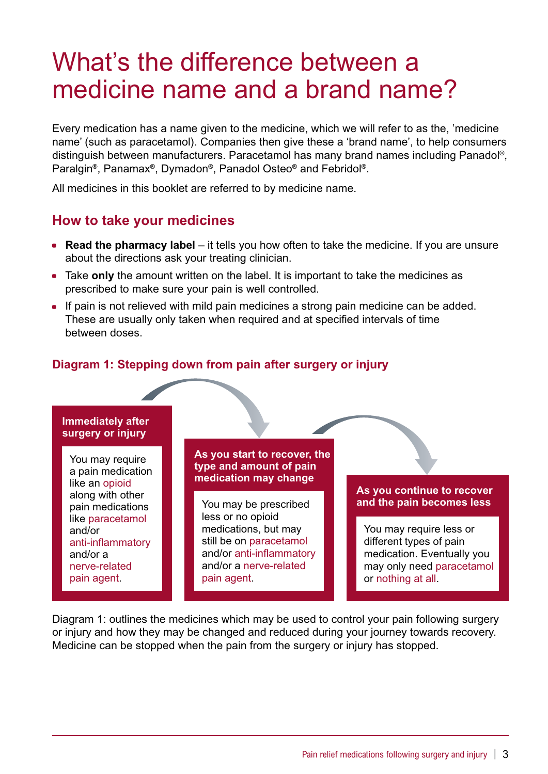## What's the difference between a medicine name and a brand name?

Every medication has a name given to the medicine, which we will refer to as the, 'medicine name' (such as paracetamol). Companies then give these a 'brand name', to help consumers distinguish between manufacturers. Paracetamol has many brand names including Panadol®, Paralgin®, Panamax®, Dymadon®, Panadol Osteo® and Febridol®.

All medicines in this booklet are referred to by medicine name.

## **How to take your medicines**

- **Read the pharmacy label** it tells you how often to take the medicine. If you are unsure about the directions ask your treating clinician.
- Take only the amount written on the label. It is important to take the medicines as prescribed to make sure your pain is well controlled.
- If pain is not relieved with mild pain medicines a strong pain medicine can be added. These are usually only taken when required and at specified intervals of time between doses.

### **Diagram 1: Stepping down from pain after surgery or injury**

#### **Immediately after surgery or injury**

You may require a pain medication like an opioid along with other pain medications like paracetamol and/or anti-inflammatory and/or a nerve-related pain agent.

**As you start to recover, the type and amount of pain medication may change**

You may be prescribed less or no opioid medications, but may still be on paracetamol and/or anti-inflammatory and/or a nerve-related pain agent.

#### **As you continue to recover and the pain becomes less**

You may require less or different types of pain medication. Eventually you may only need paracetamol or nothing at all.

Diagram 1: outlines the medicines which may be used to control your pain following surgery or injury and how they may be changed and reduced during your journey towards recovery. Medicine can be stopped when the pain from the surgery or injury has stopped.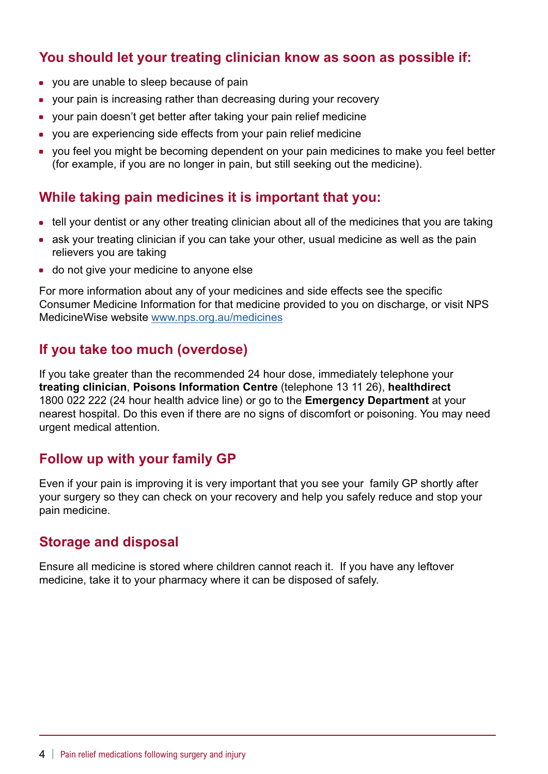## **You should let your treating clinician know as soon as possible if:**

- you are unable to sleep because of pain
- your pain is increasing rather than decreasing during your recovery
- your pain doesn't get better after taking your pain relief medicine
- you are experiencing side effects from your pain relief medicine
- you feel you might be becoming dependent on your pain medicines to make you feel better (for example, if you are no longer in pain, but still seeking out the medicine).

### **While taking pain medicines it is important that you:**

- tell your dentist or any other treating clinician about all of the medicines that you are taking
- ask your treating clinician if you can take your other, usual medicine as well as the pain relievers you are taking
- do not give your medicine to anyone else

For more information about any of your medicines and side effects see the specific Consumer Medicine Information for that medicine provided to you on discharge, or visit NPS MedicineWise website [www.nps.org.au/medicines](http://www.nps.org.au/medicines)

## **If you take too much (overdose)**

If you take greater than the recommended 24 hour dose, immediately telephone your **treating clinician**, **Poisons Information Centre** (telephone 13 11 26), **healthdirect** 1800 022 222 (24 hour health advice line) or go to the **Emergency Department** at your nearest hospital. Do this even if there are no signs of discomfort or poisoning. You may need urgent medical attention.

## **Follow up with your family GP**

Even if your pain is improving it is very important that you see your family GP shortly after your surgery so they can check on your recovery and help you safely reduce and stop your pain medicine.

### **Storage and disposal**

Ensure all medicine is stored where children cannot reach it. If you have any leftover medicine, take it to your pharmacy where it can be disposed of safely.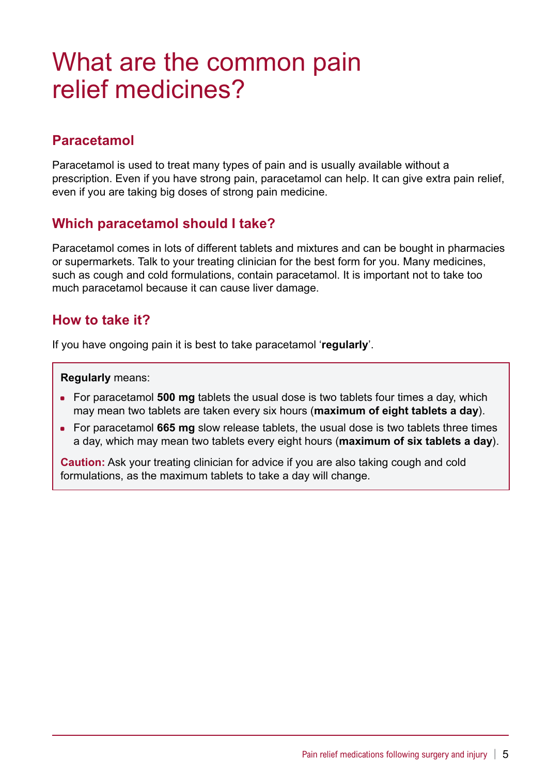## What are the common pain relief medicines?

## **Paracetamol**

Paracetamol is used to treat many types of pain and is usually available without a prescription. Even if you have strong pain, paracetamol can help. It can give extra pain relief, even if you are taking big doses of strong pain medicine.

### **Which paracetamol should I take?**

Paracetamol comes in lots of different tablets and mixtures and can be bought in pharmacies or supermarkets. Talk to your treating clinician for the best form for you. Many medicines, such as cough and cold formulations, contain paracetamol. It is important not to take too much paracetamol because it can cause liver damage.

### **How to take it?**

If you have ongoing pain it is best to take paracetamol '**regularly**'.

**Regularly** means:

- For paracetamol **500 mg** tablets the usual dose is two tablets four times a day, which may mean two tablets are taken every six hours (**maximum of eight tablets a day**).
- For paracetamol 665 mg slow release tablets, the usual dose is two tablets three times a day, which may mean two tablets every eight hours (**maximum of six tablets a day**).

**Caution:** Ask your treating clinician for advice if you are also taking cough and cold formulations, as the maximum tablets to take a day will change.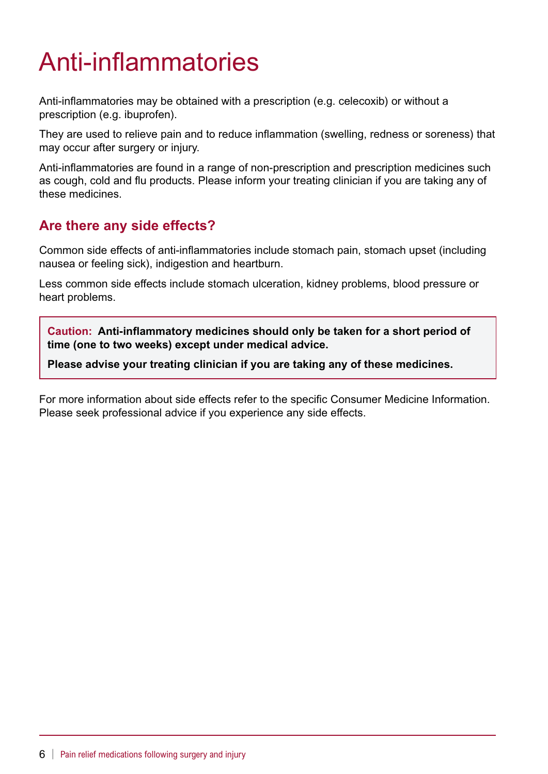# Anti-inflammatories

Anti-inflammatories may be obtained with a prescription (e.g. celecoxib) or without a prescription (e.g. ibuprofen).

They are used to relieve pain and to reduce inflammation (swelling, redness or soreness) that may occur after surgery or injury.

Anti-inflammatories are found in a range of non-prescription and prescription medicines such as cough, cold and flu products. Please inform your treating clinician if you are taking any of these medicines.

## **Are there any side effects?**

Common side effects of anti-inflammatories include stomach pain, stomach upset (including nausea or feeling sick), indigestion and heartburn.

Less common side effects include stomach ulceration, kidney problems, blood pressure or heart problems.

**Caution: Anti-inflammatory medicines should only be taken for a short period of time (one to two weeks) except under medical advice.**

**Please advise your treating clinician if you are taking any of these medicines.** 

For more information about side effects refer to the specific Consumer Medicine Information. Please seek professional advice if you experience any side effects.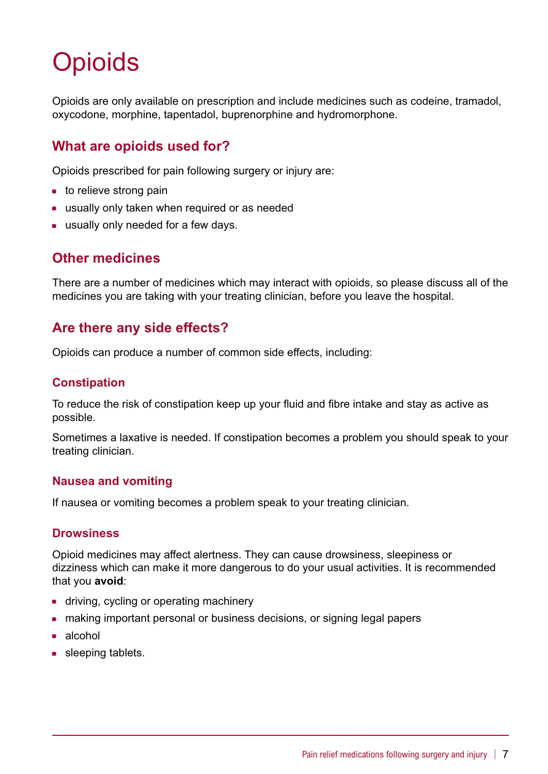# **Opioids**

Opioids are only available on prescription and include medicines such as codeine, tramadol, oxycodone, morphine, tapentadol, buprenorphine and hydromorphone.

## **What are opioids used for?**

Opioids prescribed for pain following surgery or injury are:

- $\bullet$  to relieve strong pain
- usually only taken when required or as needed
- usually only needed for a few days.

## **Other medicines**

There are a number of medicines which may interact with opioids, so please discuss all of the medicines you are taking with your treating clinician, before you leave the hospital.

## **Are there any side effects?**

Opioids can produce a number of common side effects, including:

### **Constipation**

To reduce the risk of constipation keep up your fluid and fibre intake and stay as active as possible.

Sometimes a laxative is needed. If constipation becomes a problem you should speak to your treating clinician.

#### **Nausea and vomiting**

If nausea or vomiting becomes a problem speak to your treating clinician.

### **Drowsiness**

Opioid medicines may affect alertness. They can cause drowsiness, sleepiness or dizziness which can make it more dangerous to do your usual activities. It is recommended that you **avoid**:

- driving, cycling or operating machinery
- making important personal or business decisions, or signing legal papers
- $\bullet$  alcohol
- sleeping tablets.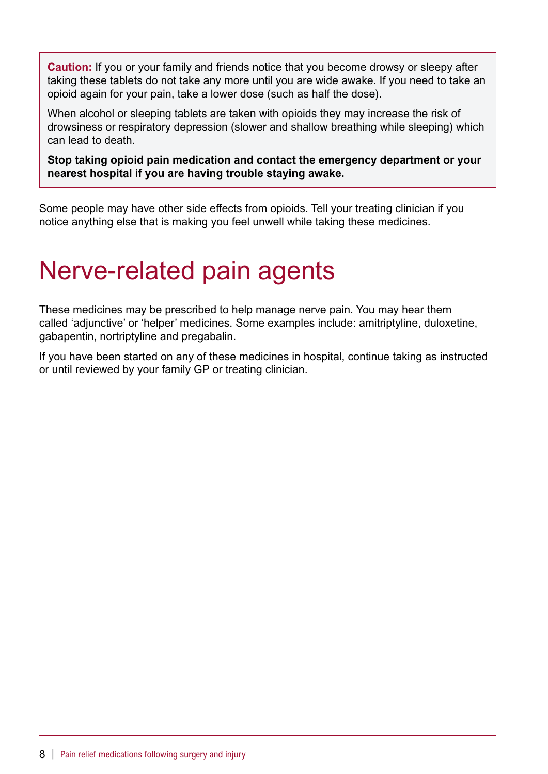**Caution:** If you or your family and friends notice that you become drowsy or sleepy after taking these tablets do not take any more until you are wide awake. If you need to take an opioid again for your pain, take a lower dose (such as half the dose).

When alcohol or sleeping tablets are taken with opioids they may increase the risk of drowsiness or respiratory depression (slower and shallow breathing while sleeping) which can lead to death.

**Stop taking opioid pain medication and contact the emergency department or your nearest hospital if you are having trouble staying awake.**

Some people may have other side effects from opioids. Tell your treating clinician if you notice anything else that is making you feel unwell while taking these medicines.

# Nerve-related pain agents

These medicines may be prescribed to help manage nerve pain. You may hear them called 'adjunctive' or 'helper' medicines. Some examples include: amitriptyline, duloxetine, gabapentin, nortriptyline and pregabalin.

If you have been started on any of these medicines in hospital, continue taking as instructed or until reviewed by your family GP or treating clinician.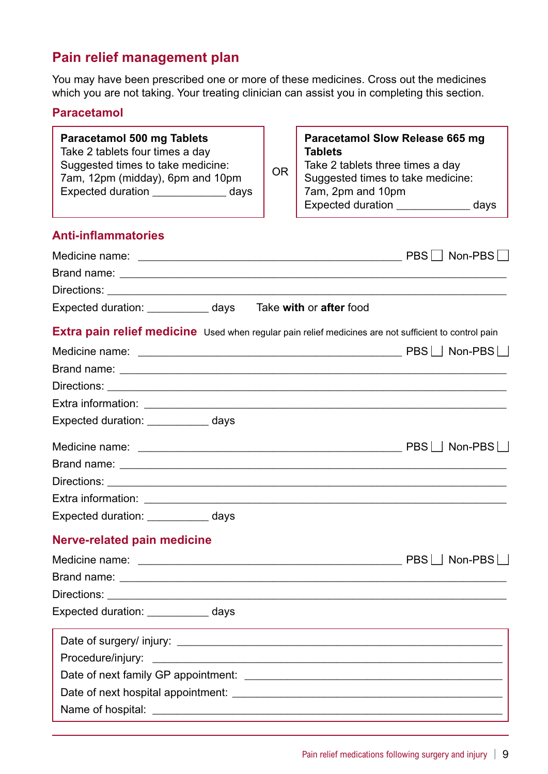## **Pain relief management plan**

You may have been prescribed one or more of these medicines. Cross out the medicines which you are not taking. Your treating clinician can assist you in completing this section.

### **Paracetamol**

| <b>Paracetamol 500 mg Tablets</b><br>Take 2 tablets four times a day<br>Suggested times to take medicine:<br>7am, 12pm (midday), 6pm and 10pm<br>Expected duration ______________ days | OR | <b>Paracetamol Slow Release 665 mg</b><br><b>Tablets</b><br>Take 2 tablets three times a day<br>Suggested times to take medicine:<br>7am, 2pm and 10pm<br>Expected duration _______________ days |
|----------------------------------------------------------------------------------------------------------------------------------------------------------------------------------------|----|--------------------------------------------------------------------------------------------------------------------------------------------------------------------------------------------------|
| <b>Anti-inflammatories</b>                                                                                                                                                             |    |                                                                                                                                                                                                  |
|                                                                                                                                                                                        |    | PBS     Non-PBS                                                                                                                                                                                  |
|                                                                                                                                                                                        |    |                                                                                                                                                                                                  |
|                                                                                                                                                                                        |    |                                                                                                                                                                                                  |
| Expected duration: ___________ days Take with or after food                                                                                                                            |    |                                                                                                                                                                                                  |
| Extra pain relief medicine Used when regular pain relief medicines are not sufficient to control pain                                                                                  |    |                                                                                                                                                                                                  |
|                                                                                                                                                                                        |    |                                                                                                                                                                                                  |
|                                                                                                                                                                                        |    |                                                                                                                                                                                                  |
|                                                                                                                                                                                        |    |                                                                                                                                                                                                  |
|                                                                                                                                                                                        |    |                                                                                                                                                                                                  |
| Expected duration: ____________ days                                                                                                                                                   |    |                                                                                                                                                                                                  |
|                                                                                                                                                                                        |    |                                                                                                                                                                                                  |
|                                                                                                                                                                                        |    |                                                                                                                                                                                                  |
|                                                                                                                                                                                        |    |                                                                                                                                                                                                  |
|                                                                                                                                                                                        |    |                                                                                                                                                                                                  |
| Expected duration: ___________ days                                                                                                                                                    |    |                                                                                                                                                                                                  |
| <b>Nerve-related pain medicine</b>                                                                                                                                                     |    |                                                                                                                                                                                                  |
|                                                                                                                                                                                        |    | PBS     Non-PBS                                                                                                                                                                                  |
|                                                                                                                                                                                        |    |                                                                                                                                                                                                  |
|                                                                                                                                                                                        |    |                                                                                                                                                                                                  |
| Expected duration: ___________ days                                                                                                                                                    |    |                                                                                                                                                                                                  |
|                                                                                                                                                                                        |    |                                                                                                                                                                                                  |
|                                                                                                                                                                                        |    |                                                                                                                                                                                                  |
|                                                                                                                                                                                        |    |                                                                                                                                                                                                  |
|                                                                                                                                                                                        |    |                                                                                                                                                                                                  |
|                                                                                                                                                                                        |    |                                                                                                                                                                                                  |
|                                                                                                                                                                                        |    |                                                                                                                                                                                                  |